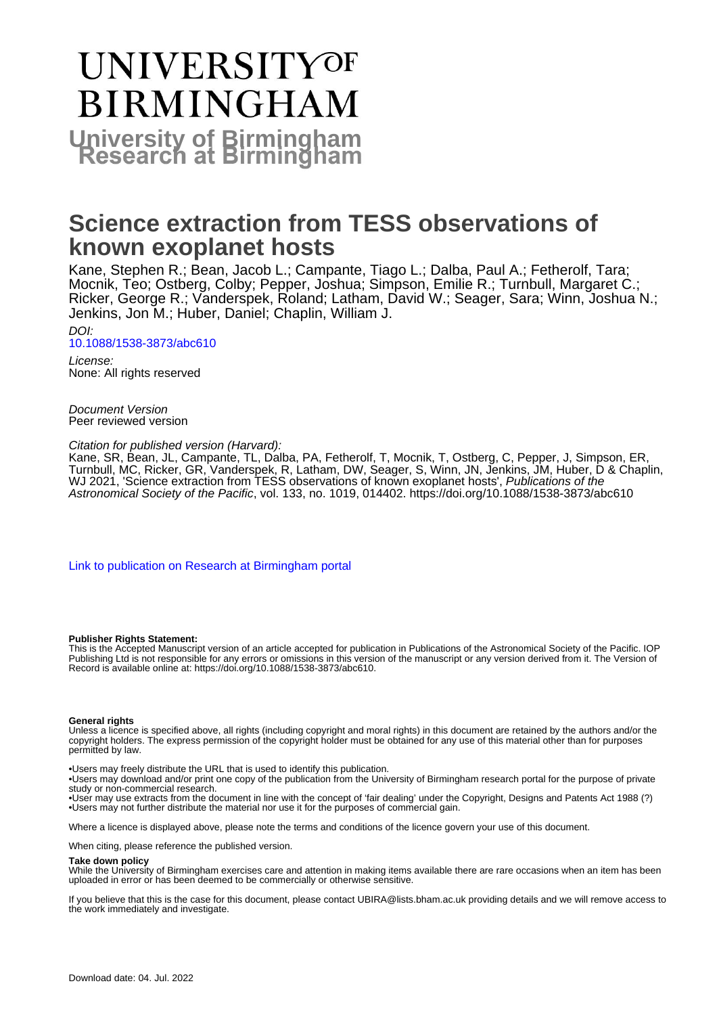# **UNIVERSITYOF BIRMINGHAM University of Birmingham**

# **Science extraction from TESS observations of known exoplanet hosts**

Kane, Stephen R.; Bean, Jacob L.; Campante, Tiago L.; Dalba, Paul A.; Fetherolf, Tara; Mocnik, Teo; Ostberg, Colby; Pepper, Joshua; Simpson, Emilie R.; Turnbull, Margaret C.; Ricker, George R.; Vanderspek, Roland; Latham, David W.; Seager, Sara; Winn, Joshua N.; Jenkins, Jon M.; Huber, Daniel; Chaplin, William J.

DOI: [10.1088/1538-3873/abc610](https://doi.org/10.1088/1538-3873/abc610)

License: None: All rights reserved

Document Version Peer reviewed version

Citation for published version (Harvard):

Kane, SR, Bean, JL, Campante, TL, Dalba, PA, Fetherolf, T, Mocnik, T, Ostberg, C, Pepper, J, Simpson, ER, Turnbull, MC, Ricker, GR, Vanderspek, R, Latham, DW, Seager, S, Winn, JN, Jenkins, JM, Huber, D & Chaplin, WJ 2021, 'Science extraction from TESS observations of known exoplanet hosts', Publications of the Astronomical Society of the Pacific, vol. 133, no. 1019, 014402. <https://doi.org/10.1088/1538-3873/abc610>

[Link to publication on Research at Birmingham portal](https://birmingham.elsevierpure.com/en/publications/ef40f421-98ca-4969-9ba2-1fe29066524c)

#### **Publisher Rights Statement:**

This is the Accepted Manuscript version of an article accepted for publication in Publications of the Astronomical Society of the Pacific. IOP Publishing Ltd is not responsible for any errors or omissions in this version of the manuscript or any version derived from it. The Version of Record is available online at: https://doi.org/10.1088/1538-3873/abc610.

#### **General rights**

Unless a licence is specified above, all rights (including copyright and moral rights) in this document are retained by the authors and/or the copyright holders. The express permission of the copyright holder must be obtained for any use of this material other than for purposes permitted by law.

• Users may freely distribute the URL that is used to identify this publication.

• Users may download and/or print one copy of the publication from the University of Birmingham research portal for the purpose of private study or non-commercial research.

• User may use extracts from the document in line with the concept of 'fair dealing' under the Copyright, Designs and Patents Act 1988 (?) • Users may not further distribute the material nor use it for the purposes of commercial gain.

Where a licence is displayed above, please note the terms and conditions of the licence govern your use of this document.

When citing, please reference the published version.

#### **Take down policy**

While the University of Birmingham exercises care and attention in making items available there are rare occasions when an item has been uploaded in error or has been deemed to be commercially or otherwise sensitive.

If you believe that this is the case for this document, please contact UBIRA@lists.bham.ac.uk providing details and we will remove access to the work immediately and investigate.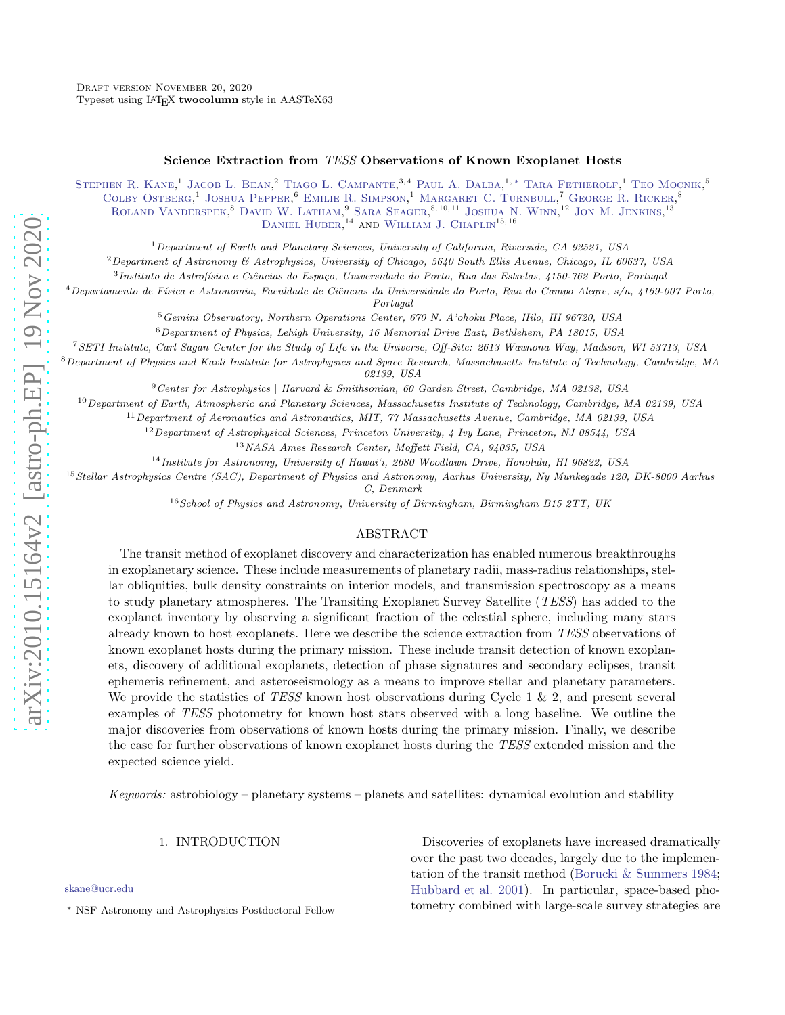# Science Extraction from *TESS* Observations of Known Exoplanet Hosts

STEPHEN R. KANE,<sup>1</sup> JACOB L. BEAN,<sup>2</sup> TIAGO L. CAMPANTE,<sup>3,4</sup> PAUL A. DALBA,<sup>1,\*</sup> TARA FETHEROLF,<sup>1</sup> TEO MOCNIK,<sup>5</sup> COLBY OSTBERG,<sup>1</sup> JOSHUA PEPPER,<sup>6</sup> EMILIE R. SIMPSON,<sup>1</sup> MARGARET C. TURNBULL,<sup>7</sup> GEORGE R. RICKER,<sup>8</sup> ROLAND VANDERSPEK,<sup>8</sup> DAVID W. LATHAM,<sup>9</sup> SARA SEAGER,<sup>8,10,11</sup> JOSHUA N. WINN,<sup>12</sup> JON M. JENKINS,<sup>13</sup> DANIEL HUBER,<sup>14</sup> AND WILLIAM J. CHAPLIN<sup>15,16</sup>

<sup>1</sup>Department of Earth and Planetary Sciences, University of California, Riverside, CA 92521, USA

 ${}^{2}$ Department of Astronomy & Astrophysics, University of Chicago, 5640 South Ellis Avenue, Chicago, IL 60637, USA

<sup>3</sup> Instituto de Astrofísica e Ciências do Espaço, Universidade do Porto, Rua das Estrelas, 4150-762 Porto, Portugal

 $^4$ Departamento de Física e Astronomia, Faculdade de Ciências da Universidade do Porto, Rua do Campo Alegre, s/n, 4169-007 Porto,

Portugal

<sup>5</sup>Gemini Observatory, Northern Operations Center, 670 N. A'ohoku Place, Hilo, HI 96720, USA

<sup>6</sup>Department of Physics, Lehigh University, 16 Memorial Drive East, Bethlehem, PA 18015, USA

<sup>7</sup>SETI Institute, Carl Sagan Center for the Study of Life in the Universe, Off-Site: 2613 Waunona Way, Madison, WI 53713, USA

 $8$ Department of Physics and Kavli Institute for Astrophysics and Space Research, Massachusetts Institute of Technology, Cambridge, MA 02139, USA

<sup>9</sup>Center for Astrophysics | Harvard & Smithsonian, 60 Garden Street, Cambridge, MA 02138, USA

 $10$ Department of Earth, Atmospheric and Planetary Sciences, Massachusetts Institute of Technology, Cambridge, MA 02139, USA

<sup>11</sup>Department of Aeronautics and Astronautics, MIT, 77 Massachusetts Avenue, Cambridge, MA 02139, USA

 $12$ Department of Astrophysical Sciences, Princeton University, 4 Ivy Lane, Princeton, NJ 08544, USA

<sup>13</sup>NASA Ames Research Center, Moffett Field, CA, 94035, USA

<sup>14</sup>Institute for Astronomy, University of Hawai'i, 2680 Woodlawn Drive, Honolulu, HI 96822, USA

<sup>15</sup> Stellar Astrophysics Centre (SAC), Department of Physics and Astronomy, Aarhus University, Ny Munkegade 120, DK-8000 Aarhus

C, Denmark

 $16$  School of Physics and Astronomy, University of Birmingham, Birmingham B15 2TT, UK

#### ABSTRACT

The transit method of exoplanet discovery and characterization has enabled numerous breakthroughs in exoplanetary science. These include measurements of planetary radii, mass-radius relationships, stellar obliquities, bulk density constraints on interior models, and transmission spectroscopy as a means to study planetary atmospheres. The Transiting Exoplanet Survey Satellite (*TESS*) has added to the exoplanet inventory by observing a significant fraction of the celestial sphere, including many stars already known to host exoplanets. Here we describe the science extraction from *TESS* observations of known exoplanet hosts during the primary mission. These include transit detection of known exoplanets, discovery of additional exoplanets, detection of phase signatures and secondary eclipses, transit ephemeris refinement, and asteroseismology as a means to improve stellar and planetary parameters. We provide the statistics of *TESS* known host observations during Cycle 1 & 2, and present several examples of *TESS* photometry for known host stars observed with a long baseline. We outline the major discoveries from observations of known hosts during the primary mission. Finally, we describe the case for further observations of known exoplanet hosts during the *TESS* extended mission and the expected science yield.

*Keywords:* astrobiology – planetary systems – planets and satellites: dynamical evolution and stability

#### 1. INTRODUCTION

[skane@ucr.edu](mailto: skane@ucr.edu)

Discoveries of exoplanets have increased dramatically over the past two decades, largely due to the implementation of the transit method [\(Borucki & Summers 1984](#page-10-0); [Hubbard et al. 2001\)](#page-11-0). In particular, space-based photometry combined with large-scale survey strategies are

<span id="page-1-0"></span><sup>∗</sup> NSF Astronomy and Astrophysics Postdoctoral Fellow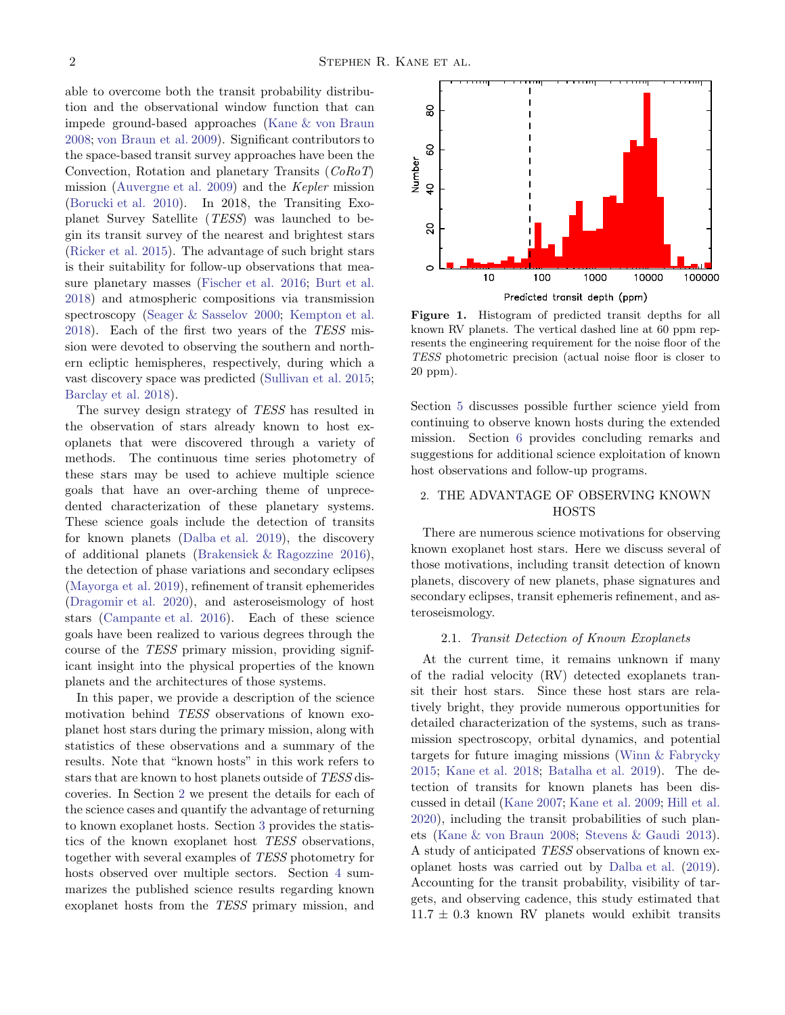able to overcome both the transit probability distribution and the observational window function that can impede ground-based approaches [\(Kane & von Braun](#page-11-1) [2008;](#page-11-1) [von Braun et al. 2009](#page-12-0)). Significant contributors to the space-based transit survey approaches have been the Convection, Rotation and planetary Transits (*CoRoT*) mission [\(Auvergne et al. 2009\)](#page-10-1) and the *Kepler* mission [\(Borucki et al. 2010\)](#page-10-2). In 2018, the Transiting Exoplanet Survey Satellite (*TESS*) was launched to begin its transit survey of the nearest and brightest stars [\(Ricker et al. 2015\)](#page-11-2). The advantage of such bright stars is their suitability for follow-up observations that measure planetary masses [\(Fischer et al. 2016;](#page-11-3) [Burt et al.](#page-10-3) [2018\)](#page-10-3) and atmospheric compositions via transmission spectroscopy [\(Seager & Sasselov 2000;](#page-11-4) [Kempton et al.](#page-11-5) [2018\)](#page-11-5). Each of the first two years of the *TESS* mission were devoted to observing the southern and northern ecliptic hemispheres, respectively, during which a vast discovery space was predicted [\(Sullivan et al. 2015;](#page-12-1) [Barclay et al. 2018\)](#page-10-4).

The survey design strategy of *TESS* has resulted in the observation of stars already known to host exoplanets that were discovered through a variety of methods. The continuous time series photometry of these stars may be used to achieve multiple science goals that have an over-arching theme of unprecedented characterization of these planetary systems. These science goals include the detection of transits for known planets [\(Dalba et al. 2019\)](#page-10-5), the discovery of additional planets [\(Brakensiek & Ragozzine 2016\)](#page-10-6), the detection of phase variations and secondary eclipses [\(Mayorga et al. 2019](#page-11-6)), refinement of transit ephemerides [\(Dragomir et al. 2020](#page-10-7)), and asteroseismology of host stars [\(Campante et al. 2016](#page-10-8)). Each of these science goals have been realized to various degrees through the course of the *TESS* primary mission, providing significant insight into the physical properties of the known planets and the architectures of those systems.

In this paper, we provide a description of the science motivation behind *TESS* observations of known exoplanet host stars during the primary mission, along with statistics of these observations and a summary of the results. Note that "known hosts" in this work refers to stars that are known to host planets outside of *TESS* discoveries. In Section [2](#page-2-0) we present the details for each of the science cases and quantify the advantage of returning to known exoplanet hosts. Section [3](#page-5-0) provides the statistics of the known exoplanet host *TESS* observations, together with several examples of *TESS* photometry for hosts observed over multiple sectors. Section [4](#page-7-0) summarizes the published science results regarding known exoplanet hosts from the *TESS* primary mission, and



<span id="page-2-1"></span>Figure 1. Histogram of predicted transit depths for all known RV planets. The vertical dashed line at 60 ppm represents the engineering requirement for the noise floor of the TESS photometric precision (actual noise floor is closer to 20 ppm).

Section [5](#page-8-0) discusses possible further science yield from continuing to observe known hosts during the extended mission. Section [6](#page-9-0) provides concluding remarks and suggestions for additional science exploitation of known host observations and follow-up programs.

# <span id="page-2-0"></span>2. THE ADVANTAGE OF OBSERVING KNOWN HOSTS

There are numerous science motivations for observing known exoplanet host stars. Here we discuss several of those motivations, including transit detection of known planets, discovery of new planets, phase signatures and secondary eclipses, transit ephemeris refinement, and asteroseismology.

#### <span id="page-2-2"></span>2.1. *Transit Detection of Known Exoplanets*

At the current time, it remains unknown if many of the radial velocity (RV) detected exoplanets transit their host stars. Since these host stars are relatively bright, they provide numerous opportunities for detailed characterization of the systems, such as transmission spectroscopy, orbital dynamics, and potential targets for future imaging missions [\(Winn & Fabrycky](#page-12-2) [2015;](#page-12-2) [Kane et al. 2018;](#page-11-7) [Batalha et al. 2019](#page-10-9)). The detection of transits for known planets has been discussed in detail [\(Kane 2007;](#page-11-8) [Kane et al. 2009](#page-11-9); [Hill et al.](#page-11-10) [2020\)](#page-11-10), including the transit probabilities of such planets [\(Kane & von Braun 2008](#page-11-1); [Stevens & Gaudi 2013](#page-12-3)). A study of anticipated *TESS* observations of known exoplanet hosts was carried out by [Dalba et al.](#page-10-5) [\(2019](#page-10-5)). Accounting for the transit probability, visibility of targets, and observing cadence, this study estimated that  $11.7 \pm 0.3$  known RV planets would exhibit transits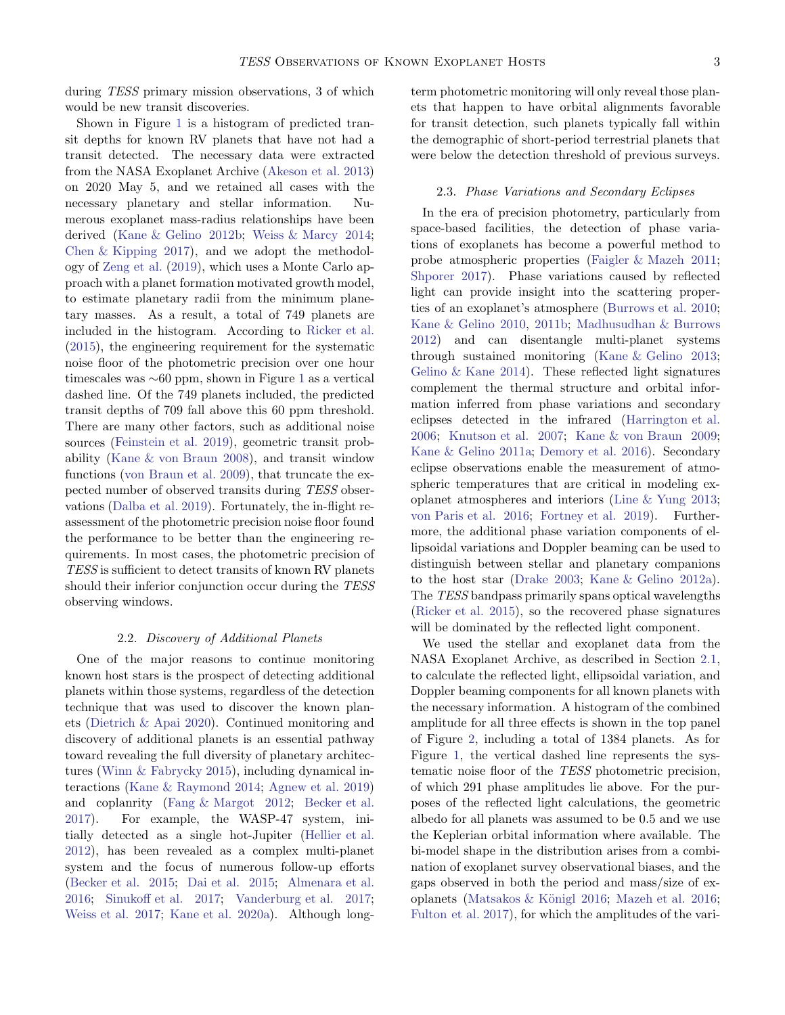during *TESS* primary mission observations, 3 of which would be new transit discoveries.

Shown in Figure [1](#page-2-1) is a histogram of predicted transit depths for known RV planets that have not had a transit detected. The necessary data were extracted from the NASA Exoplanet Archive [\(Akeson et al. 2013](#page-10-10)) on 2020 May 5, and we retained all cases with the necessary planetary and stellar information. Numerous exoplanet mass-radius relationships have been derived [\(Kane & Gelino 2012b;](#page-11-11) [Weiss & Marcy 2014;](#page-12-4) [Chen & Kipping 2017\)](#page-10-11), and we adopt the methodology of [Zeng et al.](#page-12-5) [\(2019\)](#page-12-5), which uses a Monte Carlo approach with a planet formation motivated growth model, to estimate planetary radii from the minimum planetary masses. As a result, a total of 749 planets are included in the histogram. According to [Ricker et al.](#page-11-2) [\(2015\)](#page-11-2), the engineering requirement for the systematic noise floor of the photometric precision over one hour timescales was ∼60 ppm, shown in Figure [1](#page-2-1) as a vertical dashed line. Of the 749 planets included, the predicted transit depths of 709 fall above this 60 ppm threshold. There are many other factors, such as additional noise sources [\(Feinstein et al. 2019\)](#page-10-12), geometric transit probability [\(Kane & von Braun 2008](#page-11-1)), and transit window functions [\(von Braun et al. 2009\)](#page-12-0), that truncate the expected number of observed transits during *TESS* observations [\(Dalba et al. 2019\)](#page-10-5). Fortunately, the in-flight reassessment of the photometric precision noise floor found the performance to be better than the engineering requirements. In most cases, the photometric precision of *TESS* is sufficient to detect transits of known RV planets should their inferior conjunction occur during the *TESS* observing windows.

#### 2.2. *Discovery of Additional Planets*

<span id="page-3-1"></span>One of the major reasons to continue monitoring known host stars is the prospect of detecting additional planets within those systems, regardless of the detection technique that was used to discover the known planets [\(Dietrich & Apai 2020\)](#page-10-13). Continued monitoring and discovery of additional planets is an essential pathway toward revealing the full diversity of planetary architectures [\(Winn & Fabrycky 2015\)](#page-12-2), including dynamical interactions [\(Kane & Raymond 2014](#page-11-12); [Agnew et al. 2019](#page-10-14)) and coplanrity [\(Fang & Margot 2012;](#page-10-15) [Becker et al.](#page-10-16) [2017\)](#page-10-16). For example, the WASP-47 system, initially detected as a single hot-Jupiter [\(Hellier et al.](#page-11-13) [2012\)](#page-11-13), has been revealed as a complex multi-planet system and the focus of numerous follow-up efforts [\(Becker et al. 2015](#page-10-17); [Dai et al. 2015](#page-10-18); [Almenara et al.](#page-10-19) [2016;](#page-10-19) [Sinukoff et al. 2017;](#page-12-6) [Vanderburg et al. 2017;](#page-12-7) [Weiss et al. 2017](#page-12-8); [Kane et al. 2020a\)](#page-11-14). Although longterm photometric monitoring will only reveal those planets that happen to have orbital alignments favorable for transit detection, such planets typically fall within the demographic of short-period terrestrial planets that were below the detection threshold of previous surveys.

#### <span id="page-3-0"></span>2.3. *Phase Variations and Secondary Eclipses*

In the era of precision photometry, particularly from space-based facilities, the detection of phase variations of exoplanets has become a powerful method to probe atmospheric properties [\(Faigler & Mazeh 2011](#page-10-20); [Shporer 2017\)](#page-11-15). Phase variations caused by reflected light can provide insight into the scattering properties of an exoplanet's atmosphere [\(Burrows et al. 2010](#page-10-21); [Kane & Gelino 2010](#page-11-16), [2011b;](#page-11-17) [Madhusudhan & Burrows](#page-11-18) [2012\)](#page-11-18) and can disentangle multi-planet systems through sustained monitoring [\(Kane & Gelino 2013](#page-11-19); [Gelino & Kane 2014](#page-11-20)). These reflected light signatures complement the thermal structure and orbital information inferred from phase variations and secondary eclipses detected in the infrared [\(Harrington et al.](#page-11-21) [2006;](#page-11-21) [Knutson et al. 2007;](#page-11-22) [Kane & von Braun 2009](#page-11-23); [Kane & Gelino 2011a;](#page-11-24) [Demory et al. 2016\)](#page-10-22). Secondary eclipse observations enable the measurement of atmospheric temperatures that are critical in modeling exoplanet atmospheres and interiors [\(Line & Yung 2013](#page-11-25); [von Paris et al. 2016;](#page-12-9) [Fortney et al. 2019\)](#page-11-26). Furthermore, the additional phase variation components of ellipsoidal variations and Doppler beaming can be used to distinguish between stellar and planetary companions to the host star [\(Drake 2003;](#page-10-23) [Kane & Gelino 2012a\)](#page-11-27). The *TESS* bandpass primarily spans optical wavelengths [\(Ricker et al. 2015\)](#page-11-2), so the recovered phase signatures will be dominated by the reflected light component.

We used the stellar and exoplanet data from the NASA Exoplanet Archive, as described in Section [2.1,](#page-2-2) to calculate the reflected light, ellipsoidal variation, and Doppler beaming components for all known planets with the necessary information. A histogram of the combined amplitude for all three effects is shown in the top panel of Figure [2,](#page-4-0) including a total of 1384 planets. As for Figure [1,](#page-2-1) the vertical dashed line represents the systematic noise floor of the *TESS* photometric precision, of which 291 phase amplitudes lie above. For the purposes of the reflected light calculations, the geometric albedo for all planets was assumed to be 0.5 and we use the Keplerian orbital information where available. The bi-model shape in the distribution arises from a combination of exoplanet survey observational biases, and the gaps observed in both the period and mass/size of exoplanets (Matsakos  $&$  Königl 2016; [Mazeh et al. 2016](#page-11-29); [Fulton et al. 2017\)](#page-11-30), for which the amplitudes of the vari-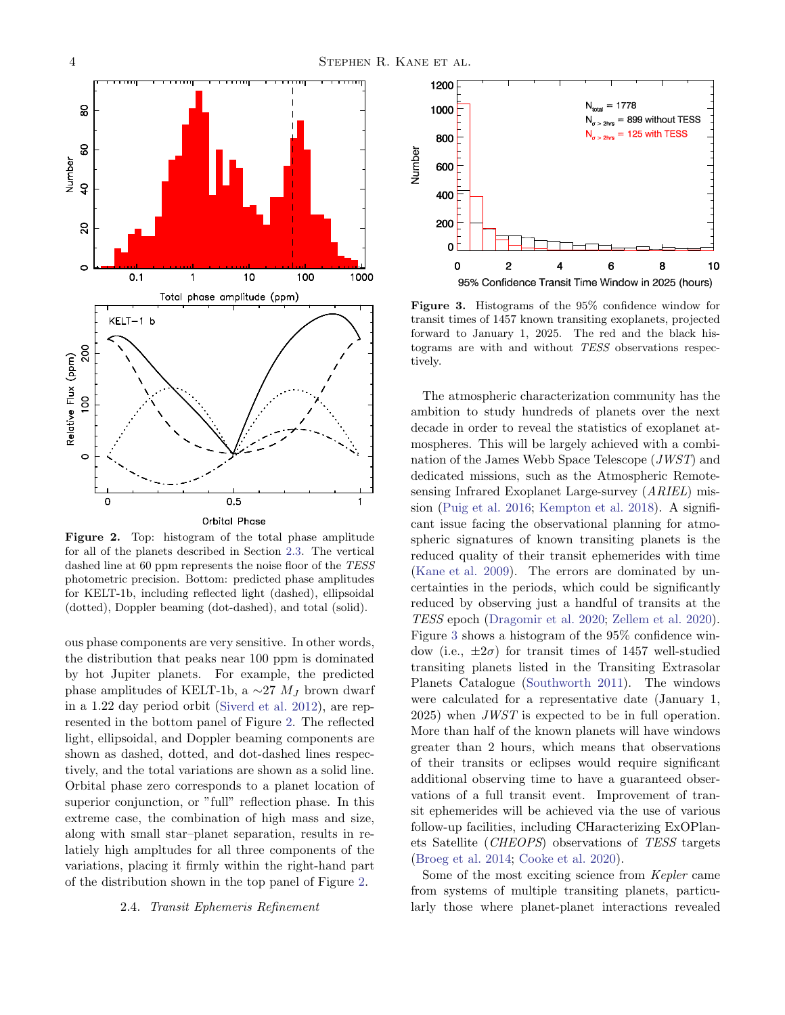

<span id="page-4-0"></span>Figure 2. Top: histogram of the total phase amplitude for all of the planets described in Section [2.3.](#page-3-0) The vertical dashed line at 60 ppm represents the noise floor of the TESS photometric precision. Bottom: predicted phase amplitudes for KELT-1b, including reflected light (dashed), ellipsoidal (dotted), Doppler beaming (dot-dashed), and total (solid).

ous phase components are very sensitive. In other words, the distribution that peaks near 100 ppm is dominated by hot Jupiter planets. For example, the predicted phase amplitudes of KELT-1b, a  $\sim$ 27  $M_J$  brown dwarf in a 1.22 day period orbit [\(Siverd et al. 2012\)](#page-12-10), are represented in the bottom panel of Figure [2.](#page-4-0) The reflected light, ellipsoidal, and Doppler beaming components are shown as dashed, dotted, and dot-dashed lines respectively, and the total variations are shown as a solid line. Orbital phase zero corresponds to a planet location of superior conjunction, or "full" reflection phase. In this extreme case, the combination of high mass and size, along with small star–planet separation, results in relatiely high ampltudes for all three components of the variations, placing it firmly within the right-hand part of the distribution shown in the top panel of Figure [2.](#page-4-0)

#### <span id="page-4-2"></span>2.4. *Transit Ephemeris Refinement*



<span id="page-4-1"></span>Figure 3. Histograms of the 95% confidence window for transit times of 1457 known transiting exoplanets, projected forward to January 1, 2025. The red and the black histograms are with and without TESS observations respectively.

The atmospheric characterization community has the ambition to study hundreds of planets over the next decade in order to reveal the statistics of exoplanet atmospheres. This will be largely achieved with a combination of the James Webb Space Telescope (*JWST*) and dedicated missions, such as the Atmospheric Remotesensing Infrared Exoplanet Large-survey (*ARIEL*) mission [\(Puig et al. 2016;](#page-11-31) [Kempton et al. 2018](#page-11-5)). A significant issue facing the observational planning for atmospheric signatures of known transiting planets is the reduced quality of their transit ephemerides with time [\(Kane et al. 2009](#page-11-9)). The errors are dominated by uncertainties in the periods, which could be significantly reduced by observing just a handful of transits at the *TESS* epoch [\(Dragomir et al. 2020;](#page-10-7) [Zellem et al. 2020](#page-12-11)). Figure [3](#page-4-1) shows a histogram of the 95% confidence window (i.e.,  $\pm 2\sigma$ ) for transit times of 1457 well-studied transiting planets listed in the Transiting Extrasolar Planets Catalogue [\(Southworth 2011](#page-12-12)). The windows were calculated for a representative date (January 1, 2025) when *JWST* is expected to be in full operation. More than half of the known planets will have windows greater than 2 hours, which means that observations of their transits or eclipses would require significant additional observing time to have a guaranteed observations of a full transit event. Improvement of transit ephemerides will be achieved via the use of various follow-up facilities, including CHaracterizing ExOPlanets Satellite (*CHEOPS*) observations of *TESS* targets [\(Broeg et al. 2014;](#page-10-24) [Cooke et al. 2020\)](#page-10-25).

Some of the most exciting science from *Kepler* came from systems of multiple transiting planets, particularly those where planet-planet interactions revealed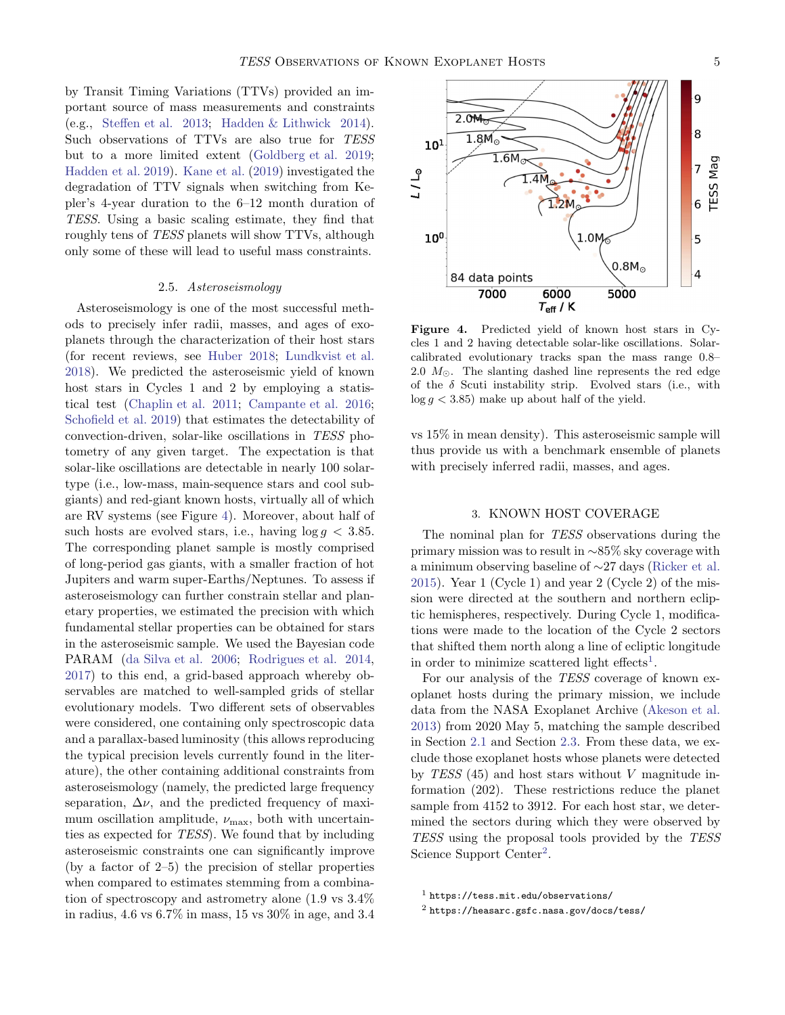by Transit Timing Variations (TTVs) provided an important source of mass measurements and constraints (e.g., [Steffen et al. 2013;](#page-12-13) [Hadden & Lithwick 2014\)](#page-11-32). Such observations of TTVs are also true for *TESS* but to a more limited extent [\(Goldberg et al. 2019;](#page-11-33) [Hadden et al. 2019](#page-11-34)). [Kane et al.](#page-11-35) [\(2019\)](#page-11-35) investigated the degradation of TTV signals when switching from Kepler's 4-year duration to the 6–12 month duration of *TESS*. Using a basic scaling estimate, they find that roughly tens of *TESS* planets will show TTVs, although only some of these will lead to useful mass constraints.

#### 2.5. *Asteroseismology*

<span id="page-5-4"></span>Asteroseismology is one of the most successful methods to precisely infer radii, masses, and ages of exoplanets through the characterization of their host stars (for recent reviews, see [Huber 2018;](#page-11-36) [Lundkvist et al.](#page-11-37) [2018\)](#page-11-37). We predicted the asteroseismic yield of known host stars in Cycles 1 and 2 by employing a statistical test [\(Chaplin et al. 2011;](#page-10-26) [Campante et al. 2016;](#page-10-8) [Schofield et al. 2019\)](#page-11-38) that estimates the detectability of convection-driven, solar-like oscillations in *TESS* photometry of any given target. The expectation is that solar-like oscillations are detectable in nearly 100 solartype (i.e., low-mass, main-sequence stars and cool subgiants) and red-giant known hosts, virtually all of which are RV systems (see Figure [4\)](#page-5-1). Moreover, about half of such hosts are evolved stars, i.e., having  $\log g < 3.85$ . The corresponding planet sample is mostly comprised of long-period gas giants, with a smaller fraction of hot Jupiters and warm super-Earths/Neptunes. To assess if asteroseismology can further constrain stellar and planetary properties, we estimated the precision with which fundamental stellar properties can be obtained for stars in the asteroseismic sample. We used the Bayesian code PARAM [\(da Silva et al. 2006;](#page-10-27) [Rodrigues et al. 2014,](#page-11-39) [2017\)](#page-11-40) to this end, a grid-based approach whereby observables are matched to well-sampled grids of stellar evolutionary models. Two different sets of observables were considered, one containing only spectroscopic data and a parallax-based luminosity (this allows reproducing the typical precision levels currently found in the literature), the other containing additional constraints from asteroseismology (namely, the predicted large frequency separation,  $\Delta \nu$ , and the predicted frequency of maximum oscillation amplitude,  $\nu_{\text{max}}$ , both with uncertainties as expected for *TESS*). We found that by including asteroseismic constraints one can significantly improve (by a factor of 2–5) the precision of stellar properties when compared to estimates stemming from a combination of spectroscopy and astrometry alone (1.9 vs 3.4% in radius, 4.6 vs 6.7% in mass, 15 vs 30% in age, and 3.4



<span id="page-5-1"></span>Figure 4. Predicted yield of known host stars in Cycles 1 and 2 having detectable solar-like oscillations. Solarcalibrated evolutionary tracks span the mass range 0.8– 2.0  $M_{\odot}$ . The slanting dashed line represents the red edge of the  $\delta$  Scuti instability strip. Evolved stars (i.e., with  $log q < 3.85$ ) make up about half of the yield.

vs 15% in mean density). This asteroseismic sample will thus provide us with a benchmark ensemble of planets with precisely inferred radii, masses, and ages.

#### 3. KNOWN HOST COVERAGE

<span id="page-5-0"></span>The nominal plan for *TESS* observations during the primary mission was to result in ∼85% sky coverage with a minimum observing baseline of ∼27 days [\(Ricker et al.](#page-11-2) [2015\)](#page-11-2). Year 1 (Cycle 1) and year 2 (Cycle 2) of the mission were directed at the southern and northern ecliptic hemispheres, respectively. During Cycle 1, modifications were made to the location of the Cycle 2 sectors that shifted them north along a line of ecliptic longitude in order to minimize scattered light effects<sup>[1](#page-5-2)</sup>.

For our analysis of the *TESS* coverage of known exoplanet hosts during the primary mission, we include data from the NASA Exoplanet Archive [\(Akeson et al.](#page-10-10) [2013\)](#page-10-10) from 2020 May 5, matching the sample described in Section [2.1](#page-2-2) and Section [2.3.](#page-3-0) From these data, we exclude those exoplanet hosts whose planets were detected by *TESS* (45) and host stars without V magnitude information (202). These restrictions reduce the planet sample from 4152 to 3912. For each host star, we determined the sectors during which they were observed by *TESS* using the proposal tools provided by the *TESS* Science Support Center<sup>[2](#page-5-3)</sup>.

<sup>1</sup> https://tess.mit.edu/observations/

<span id="page-5-3"></span><span id="page-5-2"></span><sup>2</sup> https://heasarc.gsfc.nasa.gov/docs/tess/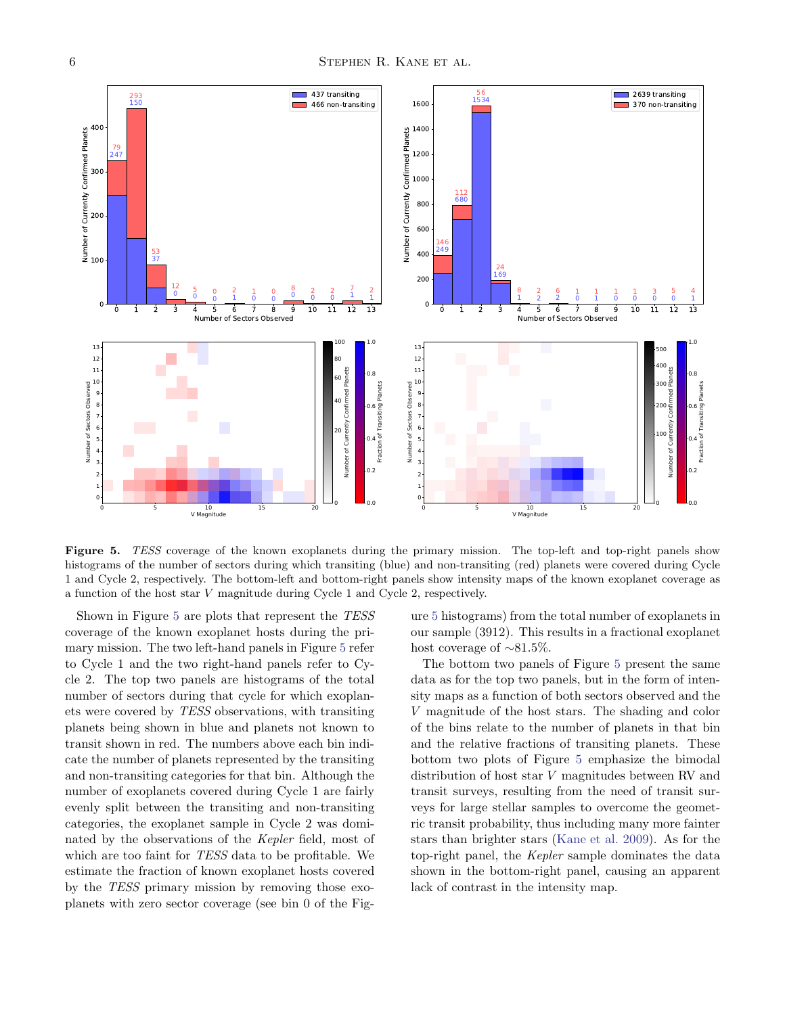

<span id="page-6-0"></span>Figure 5. TESS coverage of the known exoplanets during the primary mission. The top-left and top-right panels show histograms of the number of sectors during which transiting (blue) and non-transiting (red) planets were covered during Cycle 1 and Cycle 2, respectively. The bottom-left and bottom-right panels show intensity maps of the known exoplanet coverage as a function of the host star V magnitude during Cycle 1 and Cycle 2, respectively.

Shown in Figure [5](#page-6-0) are plots that represent the *TESS* coverage of the known exoplanet hosts during the primary mission. The two left-hand panels in Figure [5](#page-6-0) refer to Cycle 1 and the two right-hand panels refer to Cycle 2. The top two panels are histograms of the total number of sectors during that cycle for which exoplanets were covered by *TESS* observations, with transiting planets being shown in blue and planets not known to transit shown in red. The numbers above each bin indicate the number of planets represented by the transiting and non-transiting categories for that bin. Although the number of exoplanets covered during Cycle 1 are fairly evenly split between the transiting and non-transiting categories, the exoplanet sample in Cycle 2 was dominated by the observations of the *Kepler* field, most of which are too faint for *TESS* data to be profitable. We estimate the fraction of known exoplanet hosts covered by the *TESS* primary mission by removing those exoplanets with zero sector coverage (see bin 0 of the Figure [5](#page-6-0) histograms) from the total number of exoplanets in our sample (3912). This results in a fractional exoplanet host coverage of ∼81.5%.

The bottom two panels of Figure [5](#page-6-0) present the same data as for the top two panels, but in the form of intensity maps as a function of both sectors observed and the V magnitude of the host stars. The shading and color of the bins relate to the number of planets in that bin and the relative fractions of transiting planets. These bottom two plots of Figure [5](#page-6-0) emphasize the bimodal distribution of host star V magnitudes between RV and transit surveys, resulting from the need of transit surveys for large stellar samples to overcome the geometric transit probability, thus including many more fainter stars than brighter stars [\(Kane et al. 2009](#page-11-9)). As for the top-right panel, the *Kepler* sample dominates the data shown in the bottom-right panel, causing an apparent lack of contrast in the intensity map.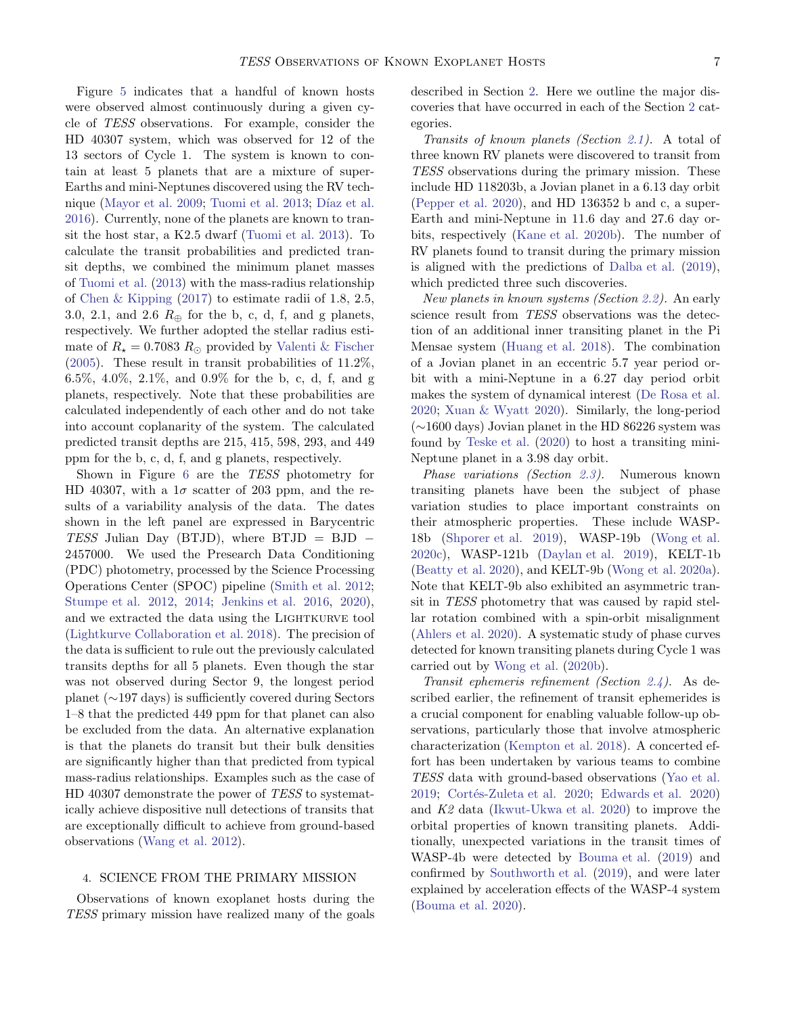Figure [5](#page-6-0) indicates that a handful of known hosts were observed almost continuously during a given cycle of *TESS* observations. For example, consider the HD 40307 system, which was observed for 12 of the 13 sectors of Cycle 1. The system is known to contain at least 5 planets that are a mixture of super-Earths and mini-Neptunes discovered using the RV tech-nique [\(Mayor et al. 2009;](#page-11-41) [Tuomi et al. 2013;](#page-12-14) Díaz et al. [2016\)](#page-10-28). Currently, none of the planets are known to transit the host star, a K2.5 dwarf [\(Tuomi et al. 2013\)](#page-12-14). To calculate the transit probabilities and predicted transit depths, we combined the minimum planet masses of [Tuomi et al.](#page-12-14) [\(2013\)](#page-12-14) with the mass-radius relationship of [Chen & Kipping](#page-10-11) [\(2017\)](#page-10-11) to estimate radii of 1.8, 2.5, 3.0, 2.1, and 2.6  $R_{\oplus}$  for the b, c, d, f, and g planets, respectively. We further adopted the stellar radius estimate of  $R_{\star} = 0.7083 R_{\odot}$  provided by [Valenti & Fischer](#page-12-15)  $(2005)$ . These result in transit probabilities of 11.2%, 6.5%, 4.0%, 2.1%, and 0.9% for the b, c, d, f, and g planets, respectively. Note that these probabilities are calculated independently of each other and do not take into account coplanarity of the system. The calculated predicted transit depths are 215, 415, 598, 293, and 449 ppm for the b, c, d, f, and g planets, respectively.

Shown in Figure [6](#page-8-1) are the *TESS* photometry for HD 40307, with a  $1\sigma$  scatter of 203 ppm, and the results of a variability analysis of the data. The dates shown in the left panel are expressed in Barycentric *TESS* Julian Day (BTJD), where BTJD = BJD − 2457000. We used the Presearch Data Conditioning (PDC) photometry, processed by the Science Processing Operations Center (SPOC) pipeline [\(Smith et al. 2012;](#page-12-16) [Stumpe et al. 2012,](#page-12-17) [2014](#page-12-18); [Jenkins et al. 2016,](#page-11-42) [2020\)](#page-11-43), and we extracted the data using the LIGHTKURVE tool [\(Lightkurve Collaboration et al. 2018\)](#page-11-44). The precision of the data is sufficient to rule out the previously calculated transits depths for all 5 planets. Even though the star was not observed during Sector 9, the longest period planet (∼197 days) is sufficiently covered during Sectors 1–8 that the predicted 449 ppm for that planet can also be excluded from the data. An alternative explanation is that the planets do transit but their bulk densities are significantly higher than that predicted from typical mass-radius relationships. Examples such as the case of HD 40307 demonstrate the power of *TESS* to systematically achieve dispositive null detections of transits that are exceptionally difficult to achieve from ground-based observations [\(Wang et al. 2012](#page-12-19)).

#### <span id="page-7-0"></span>4. SCIENCE FROM THE PRIMARY MISSION

Observations of known exoplanet hosts during the *TESS* primary mission have realized many of the goals described in Section [2.](#page-2-0) Here we outline the major discoveries that have occurred in each of the Section [2](#page-2-0) categories.

*Transits of known planets (Section [2.1\)](#page-2-2).* A total of three known RV planets were discovered to transit from *TESS* observations during the primary mission. These include HD 118203b, a Jovian planet in a 6.13 day orbit [\(Pepper et al. 2020](#page-11-45)), and HD 136352 b and c, a super-Earth and mini-Neptune in 11.6 day and 27.6 day orbits, respectively [\(Kane et al. 2020b](#page-11-46)). The number of RV planets found to transit during the primary mission is aligned with the predictions of [Dalba et al.](#page-10-5) [\(2019](#page-10-5)), which predicted three such discoveries.

*New planets in known systems (Section [2.2\)](#page-3-1).* An early science result from *TESS* observations was the detection of an additional inner transiting planet in the Pi Mensae system [\(Huang et al. 2018\)](#page-11-47). The combination of a Jovian planet in an eccentric 5.7 year period orbit with a mini-Neptune in a 6.27 day period orbit makes the system of dynamical interest [\(De Rosa et al.](#page-10-29) [2020;](#page-10-29) [Xuan & Wyatt 2020\)](#page-12-20). Similarly, the long-period (∼1600 days) Jovian planet in the HD 86226 system was found by [Teske et al.](#page-12-21) [\(2020](#page-12-21)) to host a transiting mini-Neptune planet in a 3.98 day orbit.

*Phase variations (Section [2.3\)](#page-3-0).* Numerous known transiting planets have been the subject of phase variation studies to place important constraints on their atmospheric properties. These include WASP-18b [\(Shporer et al. 2019\)](#page-11-48), WASP-19b [\(Wong et al.](#page-12-22) [2020c\)](#page-12-22), WASP-121b [\(Daylan et al. 2019\)](#page-10-30), KELT-1b [\(Beatty et al. 2020\)](#page-10-31), and KELT-9b [\(Wong et al. 2020a\)](#page-12-23). Note that KELT-9b also exhibited an asymmetric transit in *TESS* photometry that was caused by rapid stellar rotation combined with a spin-orbit misalignment [\(Ahlers et al. 2020\)](#page-10-32). A systematic study of phase curves detected for known transiting planets during Cycle 1 was carried out by [Wong et al.](#page-12-24) [\(2020b\)](#page-12-24).

*Transit ephemeris refinement (Section [2.4\)](#page-4-2).* As described earlier, the refinement of transit ephemerides is a crucial component for enabling valuable follow-up observations, particularly those that involve atmospheric characterization [\(Kempton et al. 2018\)](#page-11-5). A concerted effort has been undertaken by various teams to combine *TESS* data with ground-based observations [\(Yao et al.](#page-12-25) [2019;](#page-12-25) Cortés-Zuleta et al. 2020; [Edwards et al. 2020](#page-10-34)) and *K2* data [\(Ikwut-Ukwa et al. 2020](#page-11-49)) to improve the orbital properties of known transiting planets. Additionally, unexpected variations in the transit times of WASP-4b were detected by [Bouma et al.](#page-10-35) [\(2019\)](#page-10-35) and confirmed by [Southworth et al.](#page-12-26) [\(2019\)](#page-12-26), and were later explained by acceleration effects of the WASP-4 system [\(Bouma et al. 2020](#page-10-36)).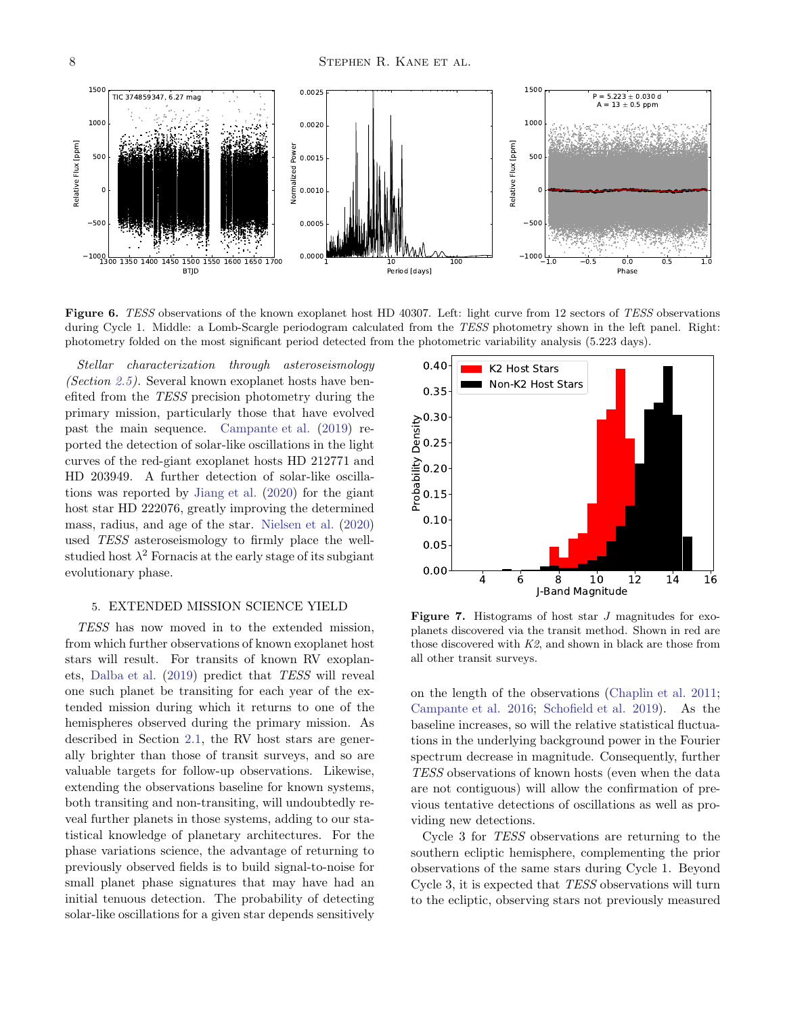

<span id="page-8-1"></span>Figure 6. TESS observations of the known exoplanet host HD 40307. Left: light curve from 12 sectors of TESS observations during Cycle 1. Middle: a Lomb-Scargle periodogram calculated from the TESS photometry shown in the left panel. Right: photometry folded on the most significant period detected from the photometric variability analysis (5.223 days).

*Stellar characterization through asteroseismology (Section [2.5\)](#page-5-4).* Several known exoplanet hosts have benefited from the *TESS* precision photometry during the primary mission, particularly those that have evolved past the main sequence. [Campante et al.](#page-10-37) [\(2019](#page-10-37)) reported the detection of solar-like oscillations in the light curves of the red-giant exoplanet hosts HD 212771 and HD 203949. A further detection of solar-like oscillations was reported by [Jiang et al.](#page-11-50) [\(2020](#page-11-50)) for the giant host star HD 222076, greatly improving the determined mass, radius, and age of the star. [Nielsen et al.](#page-11-51) [\(2020](#page-11-51)) used *TESS* asteroseismology to firmly place the wellstudied host  $\lambda^2$  Fornacis at the early stage of its subgiant evolutionary phase.

### <span id="page-8-0"></span>5. EXTENDED MISSION SCIENCE YIELD

*TESS* has now moved in to the extended mission, from which further observations of known exoplanet host stars will result. For transits of known RV exoplanets, [Dalba et al.](#page-10-5) [\(2019\)](#page-10-5) predict that *TESS* will reveal one such planet be transiting for each year of the extended mission during which it returns to one of the hemispheres observed during the primary mission. As described in Section [2.1,](#page-2-2) the RV host stars are generally brighter than those of transit surveys, and so are valuable targets for follow-up observations. Likewise, extending the observations baseline for known systems, both transiting and non-transiting, will undoubtedly reveal further planets in those systems, adding to our statistical knowledge of planetary architectures. For the phase variations science, the advantage of returning to previously observed fields is to build signal-to-noise for small planet phase signatures that may have had an initial tenuous detection. The probability of detecting solar-like oscillations for a given star depends sensitively



<span id="page-8-2"></span>**Figure 7.** Histograms of host star  $J$  magnitudes for exoplanets discovered via the transit method. Shown in red are those discovered with  $K2$ , and shown in black are those from all other transit surveys.

on the length of the observations [\(Chaplin et al. 2011](#page-10-26); [Campante et al. 2016](#page-10-8); [Schofield et al. 2019\)](#page-11-38). As the baseline increases, so will the relative statistical fluctuations in the underlying background power in the Fourier spectrum decrease in magnitude. Consequently, further *TESS* observations of known hosts (even when the data are not contiguous) will allow the confirmation of previous tentative detections of oscillations as well as providing new detections.

Cycle 3 for *TESS* observations are returning to the southern ecliptic hemisphere, complementing the prior observations of the same stars during Cycle 1. Beyond Cycle 3, it is expected that *TESS* observations will turn to the ecliptic, observing stars not previously measured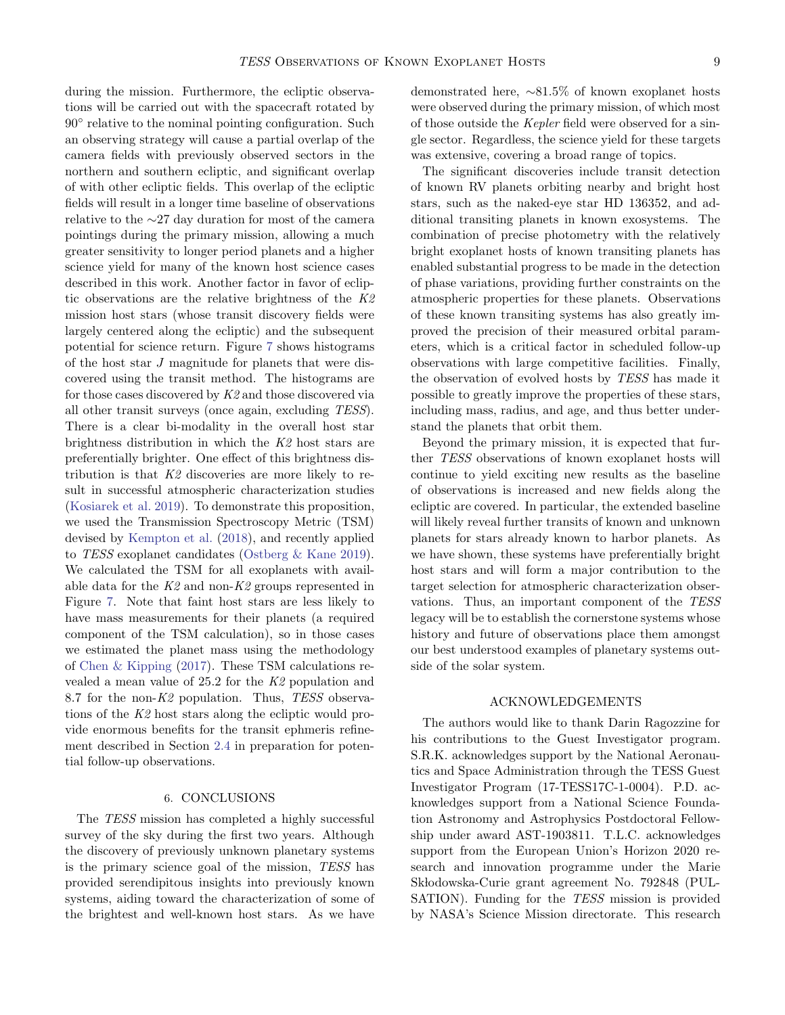during the mission. Furthermore, the ecliptic observations will be carried out with the spacecraft rotated by 90◦ relative to the nominal pointing configuration. Such an observing strategy will cause a partial overlap of the camera fields with previously observed sectors in the northern and southern ecliptic, and significant overlap of with other ecliptic fields. This overlap of the ecliptic fields will result in a longer time baseline of observations relative to the ∼27 day duration for most of the camera pointings during the primary mission, allowing a much greater sensitivity to longer period planets and a higher science yield for many of the known host science cases described in this work. Another factor in favor of ecliptic observations are the relative brightness of the *K2* mission host stars (whose transit discovery fields were largely centered along the ecliptic) and the subsequent potential for science return. Figure [7](#page-8-2) shows histograms of the host star J magnitude for planets that were discovered using the transit method. The histograms are for those cases discovered by *K2* and those discovered via all other transit surveys (once again, excluding *TESS*). There is a clear bi-modality in the overall host star brightness distribution in which the *K2* host stars are preferentially brighter. One effect of this brightness distribution is that *K2* discoveries are more likely to result in successful atmospheric characterization studies [\(Kosiarek et al. 2019\)](#page-11-52). To demonstrate this proposition, we used the Transmission Spectroscopy Metric (TSM) devised by [Kempton et al.](#page-11-5) [\(2018](#page-11-5)), and recently applied to *TESS* exoplanet candidates [\(Ostberg & Kane 2019\)](#page-11-53). We calculated the TSM for all exoplanets with available data for the *K2* and non-*K2* groups represented in Figure [7.](#page-8-2) Note that faint host stars are less likely to have mass measurements for their planets (a required component of the TSM calculation), so in those cases we estimated the planet mass using the methodology of [Chen & Kipping](#page-10-11) [\(2017](#page-10-11)). These TSM calculations revealed a mean value of 25.2 for the *K2* population and 8.7 for the non-*K2* population. Thus, *TESS* observations of the *K2* host stars along the ecliptic would provide enormous benefits for the transit ephmeris refinement described in Section [2.4](#page-4-2) in preparation for potential follow-up observations.

# 6. CONCLUSIONS

<span id="page-9-0"></span>The *TESS* mission has completed a highly successful survey of the sky during the first two years. Although the discovery of previously unknown planetary systems is the primary science goal of the mission, *TESS* has provided serendipitous insights into previously known systems, aiding toward the characterization of some of the brightest and well-known host stars. As we have demonstrated here, ∼81.5% of known exoplanet hosts were observed during the primary mission, of which most of those outside the *Kepler* field were observed for a single sector. Regardless, the science yield for these targets was extensive, covering a broad range of topics.

The significant discoveries include transit detection of known RV planets orbiting nearby and bright host stars, such as the naked-eye star HD 136352, and additional transiting planets in known exosystems. The combination of precise photometry with the relatively bright exoplanet hosts of known transiting planets has enabled substantial progress to be made in the detection of phase variations, providing further constraints on the atmospheric properties for these planets. Observations of these known transiting systems has also greatly improved the precision of their measured orbital parameters, which is a critical factor in scheduled follow-up observations with large competitive facilities. Finally, the observation of evolved hosts by *TESS* has made it possible to greatly improve the properties of these stars, including mass, radius, and age, and thus better understand the planets that orbit them.

Beyond the primary mission, it is expected that further *TESS* observations of known exoplanet hosts will continue to yield exciting new results as the baseline of observations is increased and new fields along the ecliptic are covered. In particular, the extended baseline will likely reveal further transits of known and unknown planets for stars already known to harbor planets. As we have shown, these systems have preferentially bright host stars and will form a major contribution to the target selection for atmospheric characterization observations. Thus, an important component of the *TESS* legacy will be to establish the cornerstone systems whose history and future of observations place them amongst our best understood examples of planetary systems outside of the solar system.

#### ACKNOWLEDGEMENTS

The authors would like to thank Darin Ragozzine for his contributions to the Guest Investigator program. S.R.K. acknowledges support by the National Aeronautics and Space Administration through the TESS Guest Investigator Program (17-TESS17C-1-0004). P.D. acknowledges support from a National Science Foundation Astronomy and Astrophysics Postdoctoral Fellowship under award AST-1903811. T.L.C. acknowledges support from the European Union's Horizon 2020 research and innovation programme under the Marie Sk lodowska-Curie grant agreement No. 792848 (PUL-SATION). Funding for the *TESS* mission is provided by NASA's Science Mission directorate. This research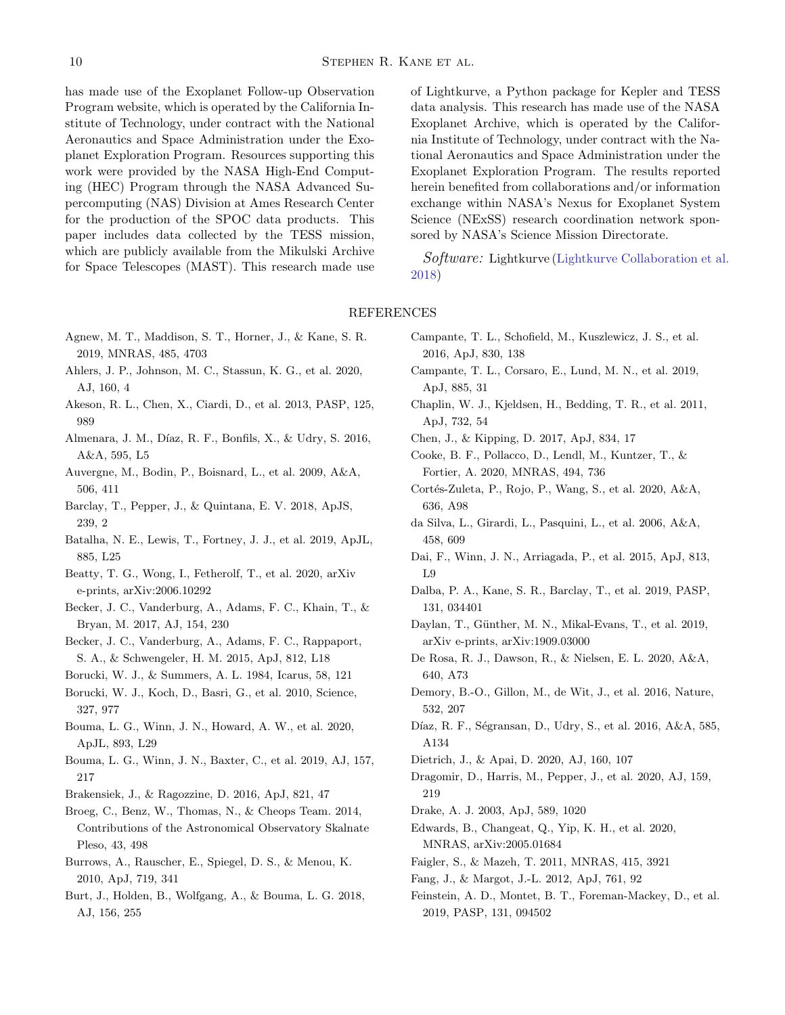has made use of the Exoplanet Follow-up Observation Program website, which is operated by the California Institute of Technology, under contract with the National Aeronautics and Space Administration under the Exoplanet Exploration Program. Resources supporting this work were provided by the NASA High-End Computing (HEC) Program through the NASA Advanced Supercomputing (NAS) Division at Ames Research Center for the production of the SPOC data products. This paper includes data collected by the TESS mission, which are publicly available from the Mikulski Archive for Space Telescopes (MAST). This research made use

- <span id="page-10-14"></span>Agnew, M. T., Maddison, S. T., Horner, J., & Kane, S. R. 2019, MNRAS, 485, 4703
- <span id="page-10-32"></span>Ahlers, J. P., Johnson, M. C., Stassun, K. G., et al. 2020, AJ, 160, 4
- <span id="page-10-10"></span>Akeson, R. L., Chen, X., Ciardi, D., et al. 2013, PASP, 125, 989
- <span id="page-10-19"></span>Almenara, J. M., Díaz, R. F., Bonfils, X., & Udry, S. 2016, A&A, 595, L5
- <span id="page-10-1"></span>Auvergne, M., Bodin, P., Boisnard, L., et al. 2009, A&A, 506, 411
- <span id="page-10-4"></span>Barclay, T., Pepper, J., & Quintana, E. V. 2018, ApJS, 239, 2
- <span id="page-10-9"></span>Batalha, N. E., Lewis, T., Fortney, J. J., et al. 2019, ApJL, 885, L25
- <span id="page-10-31"></span>Beatty, T. G., Wong, I., Fetherolf, T., et al. 2020, arXiv e-prints, arXiv:2006.10292
- <span id="page-10-16"></span>Becker, J. C., Vanderburg, A., Adams, F. C., Khain, T., & Bryan, M. 2017, AJ, 154, 230
- <span id="page-10-17"></span>Becker, J. C., Vanderburg, A., Adams, F. C., Rappaport, S. A., & Schwengeler, H. M. 2015, ApJ, 812, L18
- <span id="page-10-0"></span>Borucki, W. J., & Summers, A. L. 1984, Icarus, 58, 121
- <span id="page-10-2"></span>Borucki, W. J., Koch, D., Basri, G., et al. 2010, Science, 327, 977
- <span id="page-10-36"></span>Bouma, L. G., Winn, J. N., Howard, A. W., et al. 2020, ApJL, 893, L29
- <span id="page-10-35"></span>Bouma, L. G., Winn, J. N., Baxter, C., et al. 2019, AJ, 157, 217
- <span id="page-10-6"></span>Brakensiek, J., & Ragozzine, D. 2016, ApJ, 821, 47
- <span id="page-10-24"></span>Broeg, C., Benz, W., Thomas, N., & Cheops Team. 2014, Contributions of the Astronomical Observatory Skalnate Pleso, 43, 498
- <span id="page-10-21"></span>Burrows, A., Rauscher, E., Spiegel, D. S., & Menou, K. 2010, ApJ, 719, 341
- <span id="page-10-3"></span>Burt, J., Holden, B., Wolfgang, A., & Bouma, L. G. 2018, AJ, 156, 255

of Lightkurve, a Python package for Kepler and TESS data analysis. This research has made use of the NASA Exoplanet Archive, which is operated by the California Institute of Technology, under contract with the National Aeronautics and Space Administration under the Exoplanet Exploration Program. The results reported herein benefited from collaborations and/or information exchange within NASA's Nexus for Exoplanet System Science (NExSS) research coordination network sponsored by NASA's Science Mission Directorate.

Software: Lightkurve [\(Lightkurve Collaboration et al.](#page-11-44) [2018\)](#page-11-44)

#### REFERENCES

- <span id="page-10-8"></span>Campante, T. L., Schofield, M., Kuszlewicz, J. S., et al. 2016, ApJ, 830, 138
- <span id="page-10-37"></span>Campante, T. L., Corsaro, E., Lund, M. N., et al. 2019, ApJ, 885, 31
- <span id="page-10-26"></span>Chaplin, W. J., Kjeldsen, H., Bedding, T. R., et al. 2011, ApJ, 732, 54
- <span id="page-10-11"></span>Chen, J., & Kipping, D. 2017, ApJ, 834, 17
- <span id="page-10-25"></span>Cooke, B. F., Pollacco, D., Lendl, M., Kuntzer, T., & Fortier, A. 2020, MNRAS, 494, 736
- <span id="page-10-33"></span>Cortés-Zuleta, P., Rojo, P., Wang, S., et al. 2020, A&A, 636, A98
- <span id="page-10-27"></span>da Silva, L., Girardi, L., Pasquini, L., et al. 2006, A&A, 458, 609
- <span id="page-10-18"></span>Dai, F., Winn, J. N., Arriagada, P., et al. 2015, ApJ, 813, L9
- <span id="page-10-5"></span>Dalba, P. A., Kane, S. R., Barclay, T., et al. 2019, PASP, 131, 034401
- <span id="page-10-30"></span>Daylan, T., Günther, M. N., Mikal-Evans, T., et al. 2019, arXiv e-prints, arXiv:1909.03000
- <span id="page-10-29"></span>De Rosa, R. J., Dawson, R., & Nielsen, E. L. 2020, A&A, 640, A73
- <span id="page-10-22"></span>Demory, B.-O., Gillon, M., de Wit, J., et al. 2016, Nature, 532, 207
- <span id="page-10-28"></span>Díaz, R. F., Ségransan, D., Udry, S., et al. 2016, A&A, 585, A134
- <span id="page-10-13"></span>Dietrich, J., & Apai, D. 2020, AJ, 160, 107
- <span id="page-10-7"></span>Dragomir, D., Harris, M., Pepper, J., et al. 2020, AJ, 159, 219
- <span id="page-10-23"></span>Drake, A. J. 2003, ApJ, 589, 1020
- <span id="page-10-34"></span>Edwards, B., Changeat, Q., Yip, K. H., et al. 2020, MNRAS, arXiv:2005.01684
- <span id="page-10-20"></span>Faigler, S., & Mazeh, T. 2011, MNRAS, 415, 3921
- <span id="page-10-15"></span>Fang, J., & Margot, J.-L. 2012, ApJ, 761, 92
- <span id="page-10-12"></span>Feinstein, A. D., Montet, B. T., Foreman-Mackey, D., et al. 2019, PASP, 131, 094502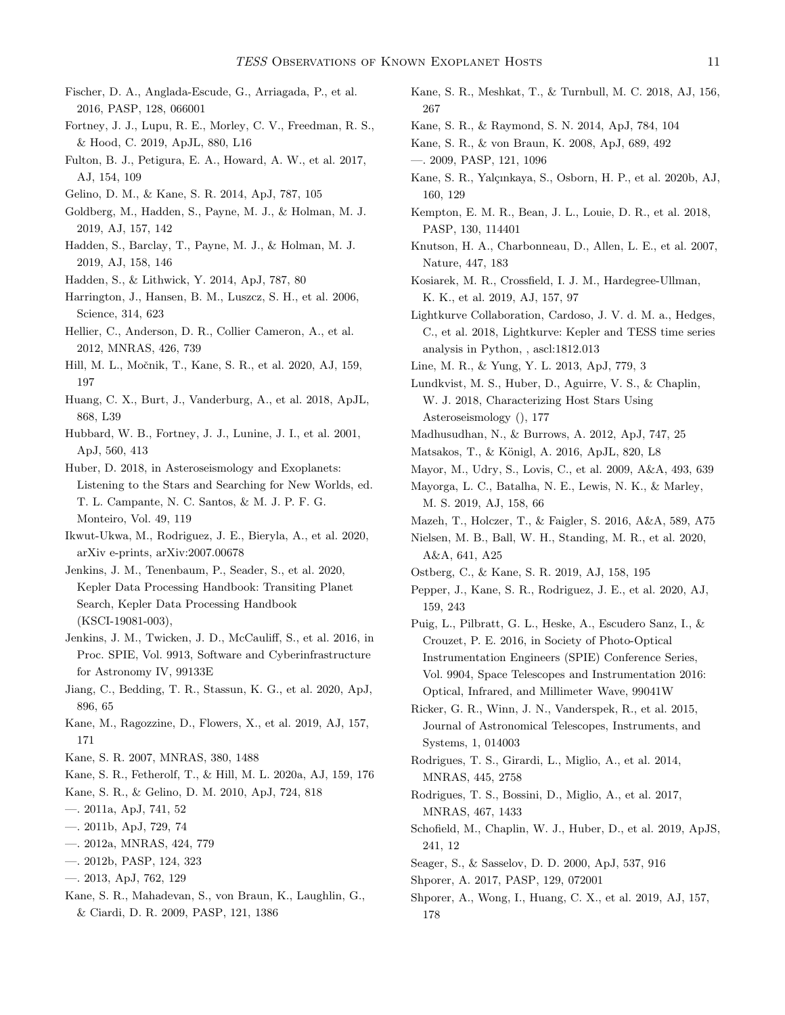- <span id="page-11-3"></span>Fischer, D. A., Anglada-Escude, G., Arriagada, P., et al. 2016, PASP, 128, 066001
- <span id="page-11-26"></span>Fortney, J. J., Lupu, R. E., Morley, C. V., Freedman, R. S., & Hood, C. 2019, ApJL, 880, L16
- <span id="page-11-30"></span>Fulton, B. J., Petigura, E. A., Howard, A. W., et al. 2017, AJ, 154, 109
- <span id="page-11-20"></span>Gelino, D. M., & Kane, S. R. 2014, ApJ, 787, 105
- <span id="page-11-33"></span>Goldberg, M., Hadden, S., Payne, M. J., & Holman, M. J. 2019, AJ, 157, 142
- <span id="page-11-34"></span>Hadden, S., Barclay, T., Payne, M. J., & Holman, M. J. 2019, AJ, 158, 146
- <span id="page-11-32"></span>Hadden, S., & Lithwick, Y. 2014, ApJ, 787, 80
- <span id="page-11-21"></span>Harrington, J., Hansen, B. M., Luszcz, S. H., et al. 2006, Science, 314, 623
- <span id="page-11-13"></span>Hellier, C., Anderson, D. R., Collier Cameron, A., et al. 2012, MNRAS, 426, 739
- <span id="page-11-10"></span>Hill, M. L., Močnik, T., Kane, S. R., et al. 2020, AJ, 159, 197
- <span id="page-11-47"></span>Huang, C. X., Burt, J., Vanderburg, A., et al. 2018, ApJL, 868, L39
- <span id="page-11-0"></span>Hubbard, W. B., Fortney, J. J., Lunine, J. I., et al. 2001, ApJ, 560, 413
- <span id="page-11-36"></span>Huber, D. 2018, in Asteroseismology and Exoplanets: Listening to the Stars and Searching for New Worlds, ed. T. L. Campante, N. C. Santos, & M. J. P. F. G. Monteiro, Vol. 49, 119
- <span id="page-11-49"></span>Ikwut-Ukwa, M., Rodriguez, J. E., Bieryla, A., et al. 2020, arXiv e-prints, arXiv:2007.00678
- <span id="page-11-43"></span>Jenkins, J. M., Tenenbaum, P., Seader, S., et al. 2020, Kepler Data Processing Handbook: Transiting Planet Search, Kepler Data Processing Handbook (KSCI-19081-003),
- <span id="page-11-42"></span>Jenkins, J. M., Twicken, J. D., McCauliff, S., et al. 2016, in Proc. SPIE, Vol. 9913, Software and Cyberinfrastructure for Astronomy IV, 99133E
- <span id="page-11-50"></span>Jiang, C., Bedding, T. R., Stassun, K. G., et al. 2020, ApJ, 896, 65
- <span id="page-11-35"></span>Kane, M., Ragozzine, D., Flowers, X., et al. 2019, AJ, 157, 171
- <span id="page-11-8"></span>Kane, S. R. 2007, MNRAS, 380, 1488
- <span id="page-11-14"></span>Kane, S. R., Fetherolf, T., & Hill, M. L. 2020a, AJ, 159, 176
- <span id="page-11-16"></span>Kane, S. R., & Gelino, D. M. 2010, ApJ, 724, 818
- <span id="page-11-24"></span>—. 2011a, ApJ, 741, 52
- <span id="page-11-17"></span>—. 2011b, ApJ, 729, 74
- <span id="page-11-27"></span>—. 2012a, MNRAS, 424, 779
- <span id="page-11-11"></span>—. 2012b, PASP, 124, 323
- <span id="page-11-19"></span>—. 2013, ApJ, 762, 129
- <span id="page-11-9"></span>Kane, S. R., Mahadevan, S., von Braun, K., Laughlin, G., & Ciardi, D. R. 2009, PASP, 121, 1386
- <span id="page-11-7"></span>Kane, S. R., Meshkat, T., & Turnbull, M. C. 2018, AJ, 156, 267
- <span id="page-11-12"></span>Kane, S. R., & Raymond, S. N. 2014, ApJ, 784, 104
- <span id="page-11-1"></span>Kane, S. R., & von Braun, K. 2008, ApJ, 689, 492
- <span id="page-11-23"></span>—. 2009, PASP, 121, 1096
- <span id="page-11-46"></span>Kane, S. R., Yalçınkaya, S., Osborn, H. P., et al. 2020b, AJ, 160, 129
- <span id="page-11-5"></span>Kempton, E. M. R., Bean, J. L., Louie, D. R., et al. 2018, PASP, 130, 114401
- <span id="page-11-22"></span>Knutson, H. A., Charbonneau, D., Allen, L. E., et al. 2007, Nature, 447, 183
- <span id="page-11-52"></span>Kosiarek, M. R., Crossfield, I. J. M., Hardegree-Ullman, K. K., et al. 2019, AJ, 157, 97
- <span id="page-11-44"></span>Lightkurve Collaboration, Cardoso, J. V. d. M. a., Hedges, C., et al. 2018, Lightkurve: Kepler and TESS time series analysis in Python, , ascl:1812.013
- <span id="page-11-25"></span>Line, M. R., & Yung, Y. L. 2013, ApJ, 779, 3
- <span id="page-11-37"></span>Lundkvist, M. S., Huber, D., Aguirre, V. S., & Chaplin, W. J. 2018, Characterizing Host Stars Using Asteroseismology (), 177
- <span id="page-11-18"></span>Madhusudhan, N., & Burrows, A. 2012, ApJ, 747, 25
- <span id="page-11-28"></span>Matsakos, T., & Königl, A. 2016, ApJL, 820, L8
- <span id="page-11-41"></span>Mayor, M., Udry, S., Lovis, C., et al. 2009, A&A, 493, 639
- <span id="page-11-6"></span>Mayorga, L. C., Batalha, N. E., Lewis, N. K., & Marley, M. S. 2019, AJ, 158, 66
- <span id="page-11-29"></span>Mazeh, T., Holczer, T., & Faigler, S. 2016, A&A, 589, A75
- <span id="page-11-51"></span>Nielsen, M. B., Ball, W. H., Standing, M. R., et al. 2020, A&A, 641, A25
- <span id="page-11-53"></span>Ostberg, C., & Kane, S. R. 2019, AJ, 158, 195
- <span id="page-11-45"></span>Pepper, J., Kane, S. R., Rodriguez, J. E., et al. 2020, AJ, 159, 243
- <span id="page-11-31"></span>Puig, L., Pilbratt, G. L., Heske, A., Escudero Sanz, I., & Crouzet, P. E. 2016, in Society of Photo-Optical Instrumentation Engineers (SPIE) Conference Series, Vol. 9904, Space Telescopes and Instrumentation 2016: Optical, Infrared, and Millimeter Wave, 99041W
- <span id="page-11-2"></span>Ricker, G. R., Winn, J. N., Vanderspek, R., et al. 2015, Journal of Astronomical Telescopes, Instruments, and Systems, 1, 014003
- <span id="page-11-39"></span>Rodrigues, T. S., Girardi, L., Miglio, A., et al. 2014, MNRAS, 445, 2758
- <span id="page-11-40"></span>Rodrigues, T. S., Bossini, D., Miglio, A., et al. 2017, MNRAS, 467, 1433
- <span id="page-11-38"></span>Schofield, M., Chaplin, W. J., Huber, D., et al. 2019, ApJS, 241, 12
- <span id="page-11-4"></span>Seager, S., & Sasselov, D. D. 2000, ApJ, 537, 916
- <span id="page-11-15"></span>Shporer, A. 2017, PASP, 129, 072001
- <span id="page-11-48"></span>Shporer, A., Wong, I., Huang, C. X., et al. 2019, AJ, 157, 178